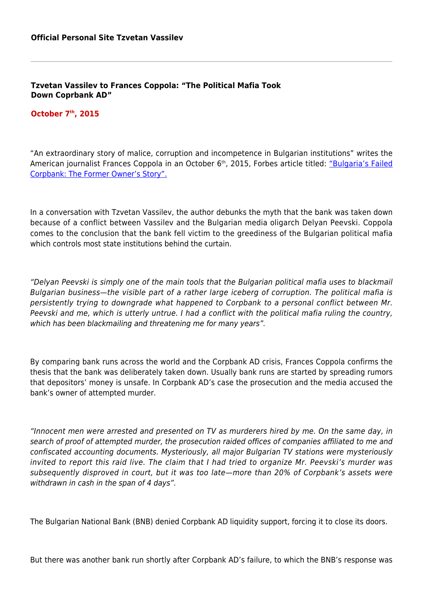**Tzvetan Vassilev to Frances Coppola: "The Political Mafia Took Down Coprbank AD"**

## **October 7th, 2015**

"An extraordinary story of malice, corruption and incompetence in Bulgarian institutions" writes the American journalist Frances Coppola in an October 6<sup>th</sup>, 2015, Forbes article titled: ["Bulgaria's Failed](http://www.forbes.com/sites/francescoppola/2015/10/05/bulgarias-failed-corpbank-the-former-owners-story/) [Corpbank: The Former Owner's Story".](http://www.forbes.com/sites/francescoppola/2015/10/05/bulgarias-failed-corpbank-the-former-owners-story/)

In a conversation with Tzvetan Vassilev, the author debunks the myth that the bank was taken down because of a conflict between Vassilev and the Bulgarian media oligarch Delyan Peevski. Coppola comes to the conclusion that the bank fell victim to the greediness of the Bulgarian political mafia which controls most state institutions behind the curtain.

"Delyan Peevski is simply one of the main tools that the Bulgarian political mafia uses to blackmail Bulgarian business—the visible part of a rather large iceberg of corruption. The political mafia is persistently trying to downgrade what happened to Corpbank to a personal conflict between Mr. Peevski and me, which is utterly untrue. I had a conflict with the political mafia ruling the country, which has been blackmailing and threatening me for many years".

By comparing bank runs across the world and the Corpbank AD crisis, Frances Coppola confirms the thesis that the bank was deliberately taken down. Usually bank runs are started by spreading rumors that depositors' money is unsafe. In Corpbank AD's case the prosecution and the media accused the bank's owner of attempted murder.

"Innocent men were arrested and presented on TV as murderers hired by me. On the same day, in search of proof of attempted murder, the prosecution raided offices of companies affiliated to me and confiscated accounting documents. Mysteriously, all major Bulgarian TV stations were mysteriously invited to report this raid live. The claim that I had tried to organize Mr. Peevski's murder was subsequently disproved in court, but it was too late—more than 20% of Corpbank's assets were withdrawn in cash in the span of 4 days".

The Bulgarian National Bank (BNB) denied Corpbank AD liquidity support, forcing it to close its doors.